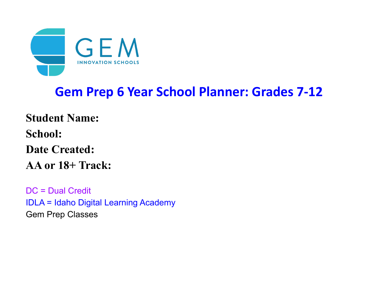

# **Gem Prep 6 Year School Planner: Grades 7-12**

**Student Name: School: Date Created: AA or 18+ Track:**

DC = Dual Credit IDLA = Idaho Digital Learning Academy Gem Prep Classes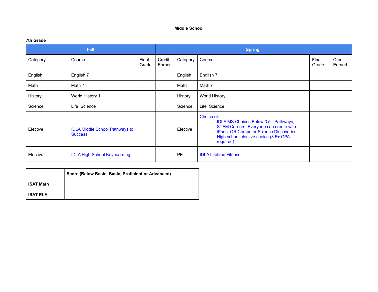#### **Middle School**

#### **7th Grade**

|          | Fall                                                    |                |                  | <b>Spring</b> |                                                                                                                                                                                                         |                |                  |
|----------|---------------------------------------------------------|----------------|------------------|---------------|---------------------------------------------------------------------------------------------------------------------------------------------------------------------------------------------------------|----------------|------------------|
| Category | Course                                                  | Final<br>Grade | Credit<br>Earned | Category      | Course                                                                                                                                                                                                  | Final<br>Grade | Credit<br>Earned |
| English  | English 7                                               |                |                  | English       | English 7                                                                                                                                                                                               |                |                  |
| Math     | Math 7                                                  |                |                  | Math          | Math 7                                                                                                                                                                                                  |                |                  |
| History  | World History 1                                         |                |                  | History       | World History 1                                                                                                                                                                                         |                |                  |
| Science  | Life Science                                            |                |                  | Science       | Life Science                                                                                                                                                                                            |                |                  |
| Elective | <b>IDLA Middle School Pathways to</b><br><b>Success</b> |                |                  | Elective      | Choice of:<br>IDLA MS Choices Below 3.5 - Pathways,<br>$\sim$<br>STEM Careers, Everyone can create with<br>iPads, OR Computer Science Discoveries<br>High school elective choice (3.5+ GPA<br>required) |                |                  |
| Elective | <b>IDLA High School Keyboarding</b>                     |                |                  | <b>PE</b>     | <b>IDLA Lifetime Fitness</b>                                                                                                                                                                            |                |                  |

|                   | Score (Below Basic, Basic, Proficient or Advanced) |
|-------------------|----------------------------------------------------|
| I ISAT Math       |                                                    |
| <b>I ISAT ELA</b> |                                                    |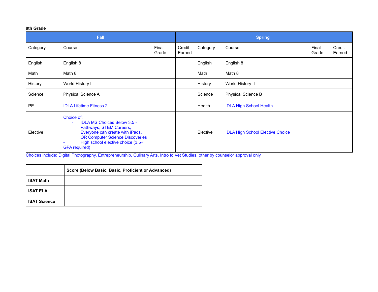# **8th Grade**

| <b>Fall</b> |                                                                                                                                                                                                                       |                |                  |          |                                         |                |                  |
|-------------|-----------------------------------------------------------------------------------------------------------------------------------------------------------------------------------------------------------------------|----------------|------------------|----------|-----------------------------------------|----------------|------------------|
| Category    | Course                                                                                                                                                                                                                | Final<br>Grade | Credit<br>Earned | Category | Course                                  | Final<br>Grade | Credit<br>Earned |
| English     | English 8                                                                                                                                                                                                             |                |                  | English  | English 8                               |                |                  |
| Math        | Math 8                                                                                                                                                                                                                |                |                  | Math     | Math 8                                  |                |                  |
| History     | World History II                                                                                                                                                                                                      |                |                  | History  | World History II                        |                |                  |
| Science     | Physical Science A                                                                                                                                                                                                    |                |                  | Science  | Physical Science B                      |                |                  |
| <b>PE</b>   | <b>IDLA Lifetime Fitness 2</b>                                                                                                                                                                                        |                |                  | Health   | <b>IDLA High School Health</b>          |                |                  |
| Elective    | Choice of:<br><b>IDLA MS Choices Below 3.5 -</b><br>Pathways, STEM Careers,<br>Everyone can create with iPads,<br><b>OR Computer Science Discoveries</b><br>High school elective choice (3.5+<br><b>GPA</b> required) |                |                  | Elective | <b>IDLA High School Elective Choice</b> |                |                  |

Choices include: Digital Photography, Entrepreneurship, Culinary Arts, Intro to Vet Studies, other by counselor approval only

|                     | Score (Below Basic, Basic, Proficient or Advanced) |
|---------------------|----------------------------------------------------|
| <b>ISAT Math</b>    |                                                    |
| <b>ISAT ELA</b>     |                                                    |
| <b>ISAT Science</b> |                                                    |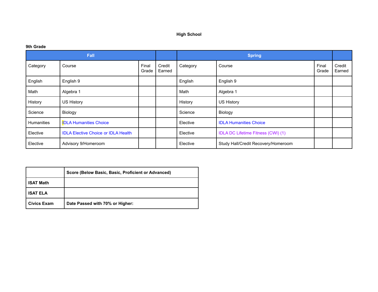# **High School**

# **9th Grade**

| <b>Fall</b> |                                            |                |                  |          | <b>Spring</b>                             |                |                  |
|-------------|--------------------------------------------|----------------|------------------|----------|-------------------------------------------|----------------|------------------|
| Category    | Course                                     | Final<br>Grade | Credit<br>Earned | Category | Course                                    | Final<br>Grade | Credit<br>Earned |
| English     | English 9                                  |                |                  | English  | English 9                                 |                |                  |
| Math        | Algebra 1                                  |                |                  | Math     | Algebra 1                                 |                |                  |
| History     | <b>US History</b>                          |                |                  | History  | US History                                |                |                  |
| Science     | Biology                                    |                |                  | Science  | Biology                                   |                |                  |
| Humanities  | <b>IDLA Humanities Choice</b>              |                |                  | Elective | <b>IDLA Humanities Choice</b>             |                |                  |
| Elective    | <b>IDLA Elective Choice or IDLA Health</b> |                |                  | Elective | <b>IDLA DC Lifetime Fitness (CWI) (1)</b> |                |                  |
| Elective    | Advisory 9/Homeroom                        |                |                  | Elective | Study Hall/Credit Recovery/Homeroom       |                |                  |

|                    | Score (Below Basic, Basic, Proficient or Advanced) |
|--------------------|----------------------------------------------------|
| <b>ISAT Math</b>   |                                                    |
| <b>ISAT ELA</b>    |                                                    |
| <b>Civics Exam</b> | Date Passed with 70% or Higher:                    |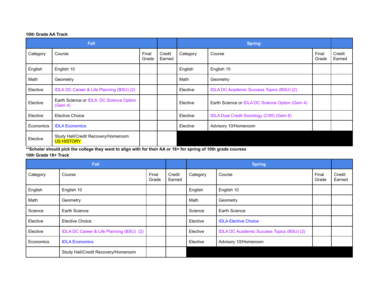## **10th Grade AA Track**

| <b>Fall</b> |                                                          |                |                  |          | <b>Spring</b>                                    |                |                  |
|-------------|----------------------------------------------------------|----------------|------------------|----------|--------------------------------------------------|----------------|------------------|
| Category    | Course                                                   | Final<br>Grade | Credit<br>Earned | Category | Course                                           | Final<br>Grade | Credit<br>Earned |
| English     | English 10                                               |                |                  | English  | English 10                                       |                |                  |
| Math        | Geometry                                                 |                |                  | Math     | Geometry                                         |                |                  |
| Elective    | IDLA DC Career & Life Planning (BSU) (2)                 |                |                  | Elective | <b>IDLA DC Academic Success Topics (BSU) (2)</b> |                |                  |
| Elective    | Earth Science or IDLA DC Science Option<br>(Gem 4)       |                |                  | Elective | Earth Science or IDLA DC Science Option (Gem 4)  |                |                  |
| Elective    | Elective Choice                                          |                |                  | Elective | IDLA Dual Credit Sociology (CWI) (Gem 6)         |                |                  |
| Economics   | <b>IDLA Economics</b>                                    |                |                  | Elective | Advisory 10/Homeroom                             |                |                  |
| Elective    | Study Hall/Credit Recovery/Homeroom<br><b>US HISTORY</b> |                |                  |          |                                                  |                |                  |

**\*\*Scholar should pick the college they want to align with for their AA or 18+ for spring of 10th grade courses**

# **10th Grade 18+ Track**

| Fall      |                                          |                |                  |          |                                                  |                |                  |
|-----------|------------------------------------------|----------------|------------------|----------|--------------------------------------------------|----------------|------------------|
| Category  | Course                                   | Final<br>Grade | Credit<br>Earned | Category | Course                                           | Final<br>Grade | Credit<br>Earned |
| English   | English 10                               |                |                  | English  | English 10                                       |                |                  |
| Math      | Geometry                                 |                |                  | Math     | Geometry                                         |                |                  |
| Science   | Earth Science                            |                |                  | Science  | Earth Science                                    |                |                  |
| Elective  | <b>Elective Choice</b>                   |                |                  | Elective | <b>IDLA Elective Choice</b>                      |                |                  |
| Elective  | IDLA DC Career & Life Planning (BSU) (2) |                |                  | Elective | <b>IDLA DC Academic Success Topics (BSU) (2)</b> |                |                  |
| Economics | <b>IDLA Economics</b>                    |                |                  | Elective | Advisory 10/Homeroom                             |                |                  |
|           | Study Hall/Credit Recovery/Homeroom      |                |                  |          |                                                  |                |                  |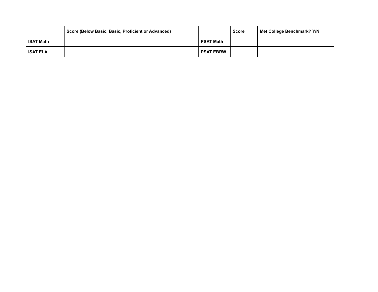|                  | Score (Below Basic, Basic, Proficient or Advanced) |                  | <b>Score</b> | Met College Benchmark? Y/N |
|------------------|----------------------------------------------------|------------------|--------------|----------------------------|
| <b>ISAT Math</b> |                                                    | <b>PSAT Math</b> |              |                            |
| <b>ISAT ELA</b>  |                                                    | <b>PSAT EBRW</b> |              |                            |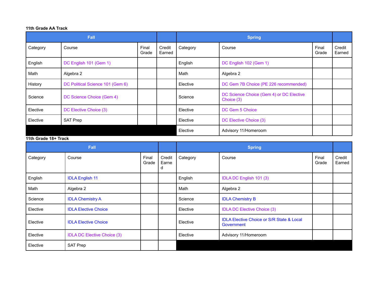### **11th Grade AA Track**

|          | <b>Fall</b>                      |                | <b>Spring</b>    |          |                                                        |                |                  |
|----------|----------------------------------|----------------|------------------|----------|--------------------------------------------------------|----------------|------------------|
| Category | Course                           | Final<br>Grade | Credit<br>Earned | Category | Course                                                 | Final<br>Grade | Credit<br>Earned |
| English  | DC English 101 (Gem 1)           |                |                  | English  | DC English 102 (Gem 1)                                 |                |                  |
| Math     | Algebra 2                        |                |                  | Math     | Algebra 2                                              |                |                  |
| History  | DC Political Science 101 (Gem 6) |                |                  | Elective | DC Gem 7B Choice (PE 226 recommended)                  |                |                  |
| Science  | DC Science Choice (Gem 4)        |                |                  | Science  | DC Science Choice (Gem 4) or DC Elective<br>Choice (3) |                |                  |
| Elective | DC Elective Choice (3)           |                |                  | Elective | DC Gem 5 Choice                                        |                |                  |
| Elective | <b>SAT Prep</b>                  |                |                  | Elective | DC Elective Choice (3)                                 |                |                  |
|          |                                  |                |                  | Elective | Advisory 11/Homeroom                                   |                |                  |

#### **11th Grade 18+ Track**

| Fall     |                                    |                |                      |          | <b>Spring</b>                                                      |                |                  |  |  |  |
|----------|------------------------------------|----------------|----------------------|----------|--------------------------------------------------------------------|----------------|------------------|--|--|--|
| Category | Course                             | Final<br>Grade | Credit<br>Earne<br>d | Category | Course                                                             | Final<br>Grade | Credit<br>Earned |  |  |  |
| English  | <b>IDLA English 11</b>             |                |                      | English  | IDLA DC English 101 (3)                                            |                |                  |  |  |  |
| Math     | Algebra 2                          |                |                      | Math     | Algebra 2                                                          |                |                  |  |  |  |
| Science  | <b>IDLA Chemistry A</b>            |                |                      | Science  | <b>IDLA Chemistry B</b>                                            |                |                  |  |  |  |
| Elective | <b>IDLA Elective Choice</b>        |                |                      | Elective | <b>IDLA DC Elective Choice (3)</b>                                 |                |                  |  |  |  |
| Elective | <b>IDLA Elective Choice</b>        |                |                      | Elective | <b>IDLA Elective Choice or S/R State &amp; Local</b><br>Government |                |                  |  |  |  |
| Elective | <b>IDLA DC Elective Choice (3)</b> |                |                      | Elective | Advisory 11/Homeroom                                               |                |                  |  |  |  |
| Elective | <b>SAT Prep</b>                    |                |                      |          |                                                                    |                |                  |  |  |  |